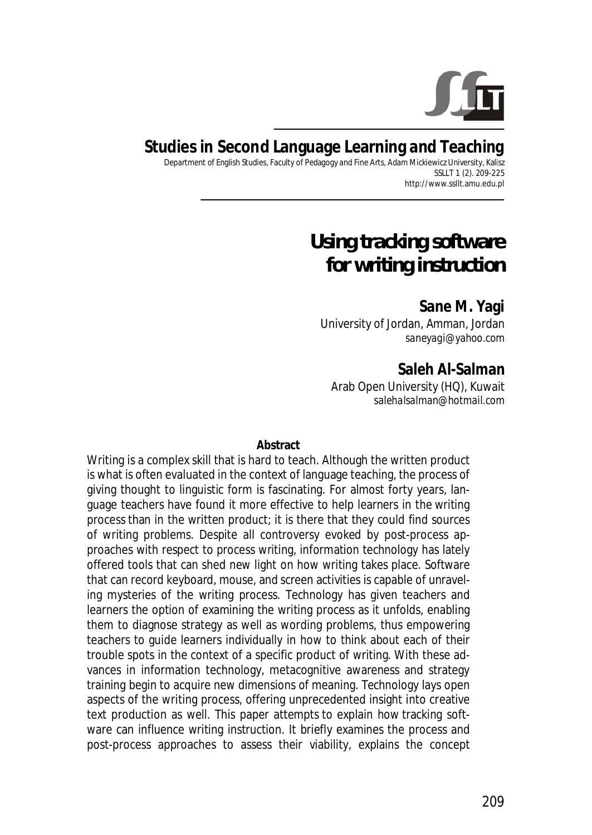

## **Studies in Second Language Learning and Teaching**

Department of English Studies, Faculty of Pedagogy and Fine Arts, Adam Mickiewicz University, Kalisz SSLLT 1 (2). 209-225 http://www.ssllt.amu.edu.pl

# *Using tracking software for writing instruction*

**Sane M. Yagi**  University of Jordan, Amman, Jordan *saneyagi@yahoo.com*

**Saleh Al-Salman**  Arab Open University (HQ), Kuwait *salehalsalman@hotmail.com*

#### **Abstract**

Writing is a complex skill that is hard to teach. Although the written product is what is often evaluated in the context of language teaching, the process of giving thought to linguistic form is fascinating. For almost forty years, language teachers have found it more effective to help learners in the writing process than in the written product; it is there that they could find sources of writing problems. Despite all controversy evoked by post-process approaches with respect to process writing, information technology has lately offered tools that can shed new light on how writing takes place. Software that can record keyboard, mouse, and screen activities is capable of unraveling mysteries of the writing process. Technology has given teachers and learners the option of examining the writing process as it unfolds, enabling them to diagnose strategy as well as wording problems, thus empowering teachers to guide learners individually in how to think about each of their trouble spots in the context of a specific product of writing. With these advances in information technology, metacognitive awareness and strategy training begin to acquire new dimensions of meaning. Technology lays open aspects of the writing process, offering unprecedented insight into creative text production as well. This paper attempts to explain how tracking software can influence writing instruction. It briefly examines the process and post-process approaches to assess their viability, explains the concept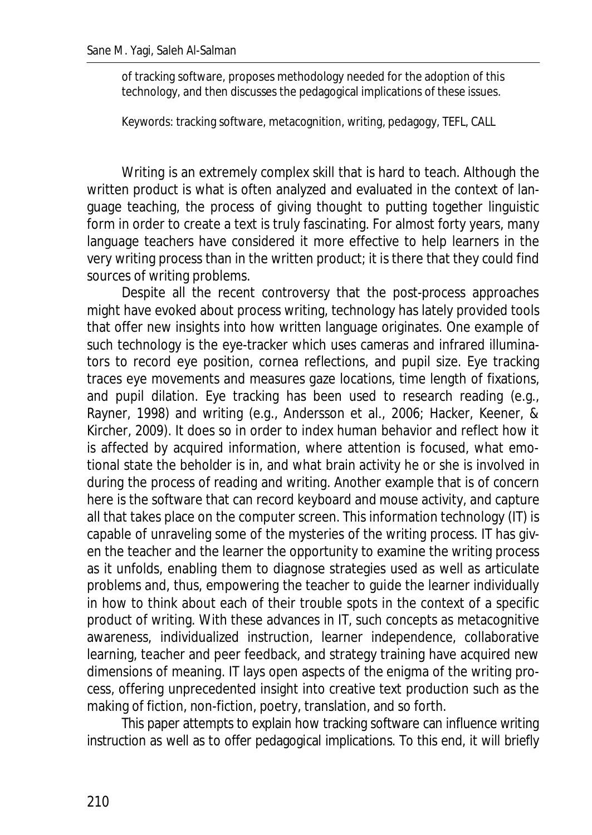of tracking software, proposes methodology needed for the adoption of this technology, and then discusses the pedagogical implications of these issues.

*Keywords*: tracking software, metacognition, writing, pedagogy, TEFL, CALL

Writing is an extremely complex skill that is hard to teach. Although the written product is what is often analyzed and evaluated in the context of language teaching, the process of giving thought to putting together linguistic form in order to create a text is truly fascinating. For almost forty years, many language teachers have considered it more effective to help learners in the very writing process than in the written product; it is there that they could find sources of writing problems.

Despite all the recent controversy that the post-process approaches might have evoked about process writing, technology has lately provided tools that offer new insights into how written language originates. One example of such technology is the eye-tracker which uses cameras and infrared illuminators to record eye position, cornea reflections, and pupil size. Eye tracking traces eye movements and measures gaze locations, time length of fixations, and pupil dilation. Eye tracking has been used to research reading (e.g., Rayner, 1998) and writing (e.g., Andersson et al., 2006; Hacker, Keener, & Kircher, 2009). It does so in order to index human behavior and reflect how it is affected by acquired information, where attention is focused, what emotional state the beholder is in, and what brain activity he or she is involved in during the process of reading and writing. Another example that is of concern here is the software that can record keyboard and mouse activity, and capture all that takes place on the computer screen. This information technology (IT) is capable of unraveling some of the mysteries of the writing process. IT has given the teacher and the learner the opportunity to examine the writing process as it unfolds, enabling them to diagnose strategies used as well as articulate problems and, thus, empowering the teacher to guide the learner individually in how to think about each of their trouble spots in the context of a specific product of writing. With these advances in IT, such concepts as metacognitive awareness, individualized instruction, learner independence, collaborative learning, teacher and peer feedback, and strategy training have acquired new dimensions of meaning. IT lays open aspects of the enigma of the writing process, offering unprecedented insight into creative text production such as the making of fiction, non-fiction, poetry, translation, and so forth.

This paper attempts to explain how tracking software can influence writing instruction as well as to offer pedagogical implications. To this end, it will briefly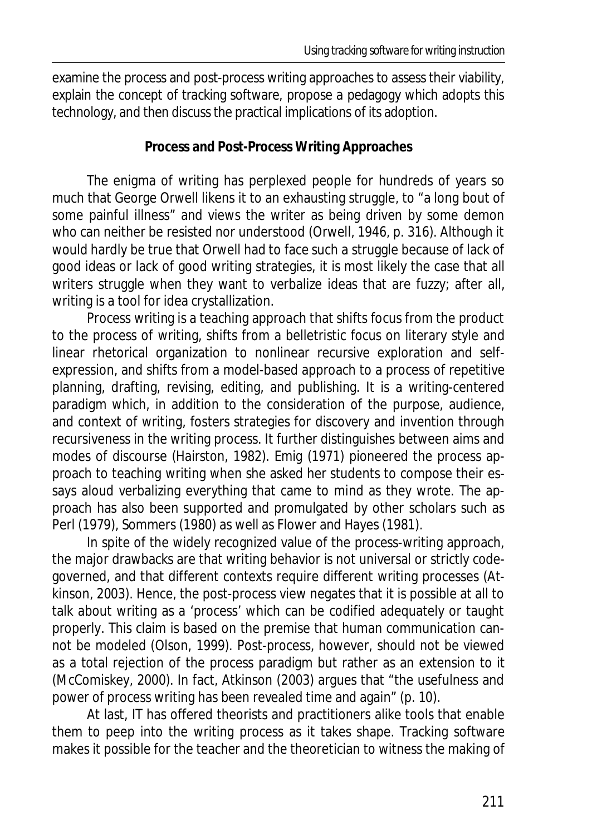examine the process and post-process writing approaches to assess their viability, explain the concept of tracking software, propose a pedagogy which adopts this technology, and then discuss the practical implications of its adoption.

#### **Process and Post-Process Writing Approaches**

The enigma of writing has perplexed people for hundreds of years so much that George Orwell likens it to an exhausting struggle, to "a long bout of some painful illness" and views the writer as being driven by some demon who can neither be resisted nor understood (Orwell, 1946, p. 316). Although it would hardly be true that Orwell had to face such a struggle because of lack of good ideas or lack of good writing strategies, it is most likely the case that all writers struggle when they want to verbalize ideas that are fuzzy; after all, writing is a tool for idea crystallization.

Process writing is a teaching approach that shifts focus from the product to the process of writing, shifts from a belletristic focus on literary style and linear rhetorical organization to nonlinear recursive exploration and selfexpression, and shifts from a model-based approach to a process of repetitive planning, drafting, revising, editing, and publishing. It is a writing-centered paradigm which, in addition to the consideration of the purpose, audience, and context of writing, fosters strategies for discovery and invention through recursiveness in the writing process. It further distinguishes between aims and modes of discourse (Hairston, 1982). Emig (1971) pioneered the process approach to teaching writing when she asked her students to compose their essays aloud verbalizing everything that came to mind as they wrote. The approach has also been supported and promulgated by other scholars such as Perl (1979), Sommers (1980) as well as Flower and Hayes (1981).

In spite of the widely recognized value of the process-writing approach, the major drawbacks are that writing behavior is not universal or strictly codegoverned, and that different contexts require different writing processes (Atkinson, 2003). Hence, the post-process view negates that it is possible at all to talk about writing as a 'process' which can be codified adequately or taught properly. This claim is based on the premise that human communication cannot be modeled (Olson, 1999). Post-process, however, should not be viewed as a total rejection of the process paradigm but rather as an extension to it (McComiskey, 2000). In fact, Atkinson (2003) argues that "the usefulness and power of process writing has been revealed time and again" (p. 10).

At last, IT has offered theorists and practitioners alike tools that enable them to peep into the writing process as it takes shape. Tracking software makes it possible for the teacher and the theoretician to witness the making of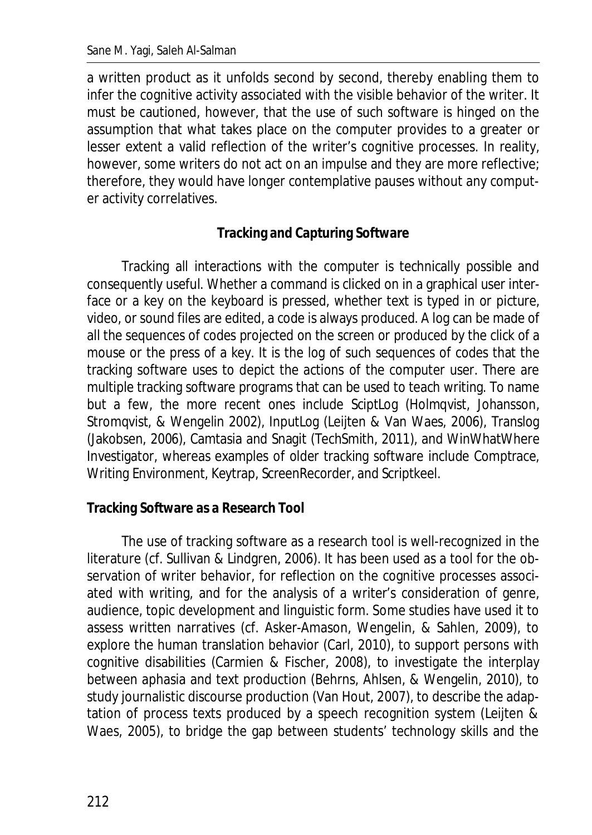a written product as it unfolds second by second, thereby enabling them to infer the cognitive activity associated with the visible behavior of the writer. It must be cautioned, however, that the use of such software is hinged on the assumption that what takes place on the computer provides to a greater or lesser extent a valid reflection of the writer's cognitive processes. In reality, however, some writers do not act on an impulse and they are more reflective; therefore, they would have longer contemplative pauses without any computer activity correlatives.

### **Tracking and Capturing Software**

Tracking all interactions with the computer is technically possible and consequently useful. Whether a command is clicked on in a graphical user interface or a key on the keyboard is pressed, whether text is typed in or picture, video, or sound files are edited, a code is always produced. A log can be made of all the sequences of codes projected on the screen or produced by the click of a mouse or the press of a key. It is the log of such sequences of codes that the tracking software uses to depict the actions of the computer user. There are multiple tracking software programs that can be used to teach writing. To name but a few, the more recent ones include SciptLog (Holmqvist, Johansson, Stromqvist, & Wengelin 2002), InputLog (Leijten & Van Waes, 2006), Translog (Jakobsen, 2006), Camtasia and Snagit (TechSmith, 2011), and WinWhatWhere Investigator, whereas examples of older tracking software include Comptrace, Writing Environment, Keytrap, ScreenRecorder, and Scriptkeel.

#### **Tracking Software as a Research Tool**

The use of tracking software as a research tool is well-recognized in the literature (cf. Sullivan & Lindgren, 2006). It has been used as a tool for the observation of writer behavior, for reflection on the cognitive processes associated with writing, and for the analysis of a writer's consideration of genre, audience, topic development and linguistic form. Some studies have used it to assess written narratives (cf. Asker-Amason, Wengelin, & Sahlen, 2009), to explore the human translation behavior (Carl, 2010), to support persons with cognitive disabilities (Carmien & Fischer, 2008), to investigate the interplay between aphasia and text production (Behrns, Ahlsen, & Wengelin, 2010), to study journalistic discourse production (Van Hout, 2007), to describe the adaptation of process texts produced by a speech recognition system (Leijten & Waes, 2005), to bridge the gap between students' technology skills and the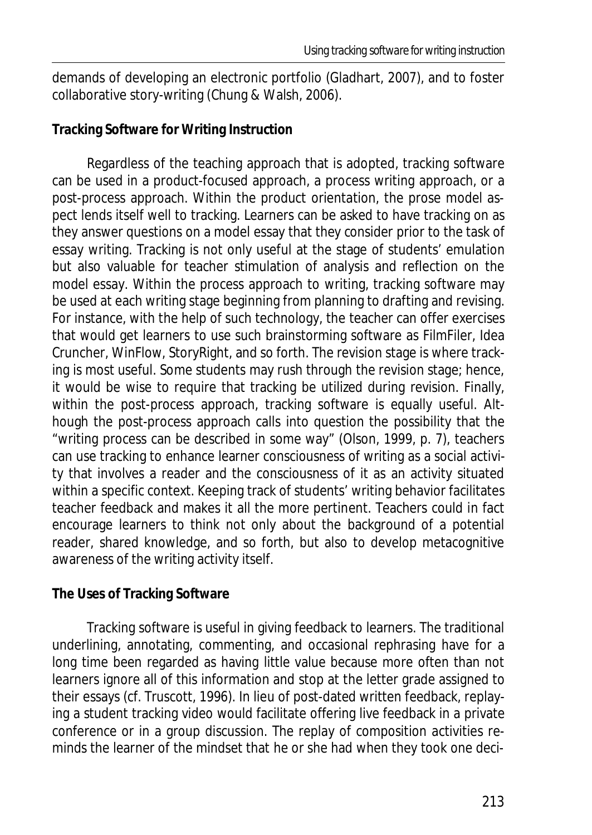demands of developing an electronic portfolio (Gladhart, 2007), and to foster collaborative story-writing (Chung & Walsh, 2006).

#### **Tracking Software for Writing Instruction**

Regardless of the teaching approach that is adopted, tracking software can be used in a product-focused approach, a process writing approach, or a post-process approach. Within the product orientation, the prose model aspect lends itself well to tracking. Learners can be asked to have tracking on as they answer questions on a model essay that they consider prior to the task of essay writing. Tracking is not only useful at the stage of students' emulation but also valuable for teacher stimulation of analysis and reflection on the model essay. Within the process approach to writing, tracking software may be used at each writing stage beginning from planning to drafting and revising. For instance, with the help of such technology, the teacher can offer exercises that would get learners to use such brainstorming software as FilmFiler, Idea Cruncher, WinFlow, StoryRight, and so forth. The revision stage is where tracking is most useful. Some students may rush through the revision stage; hence, it would be wise to require that tracking be utilized during revision. Finally, within the post-process approach, tracking software is equally useful. Although the post-process approach calls into question the possibility that the "writing process can be described in some way" (Olson, 1999, p. 7), teachers can use tracking to enhance learner consciousness of writing as a social activity that involves a reader and the consciousness of it as an activity situated within a specific context. Keeping track of students' writing behavior facilitates teacher feedback and makes it all the more pertinent. Teachers could in fact encourage learners to think not only about the background of a potential reader, shared knowledge, and so forth, but also to develop metacognitive awareness of the writing activity itself.

#### **The Uses of Tracking Software**

Tracking software is useful in giving feedback to learners. The traditional underlining, annotating, commenting, and occasional rephrasing have for a long time been regarded as having little value because more often than not learners ignore all of this information and stop at the letter grade assigned to their essays (cf. Truscott, 1996). In lieu of post-dated written feedback, replaying a student tracking video would facilitate offering live feedback in a private conference or in a group discussion. The replay of composition activities reminds the learner of the mindset that he or she had when they took one deci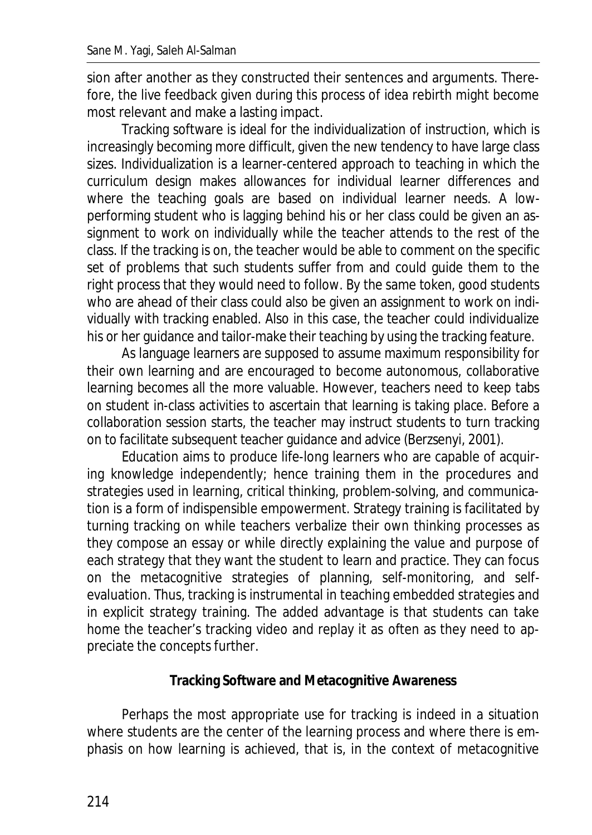sion after another as they constructed their sentences and arguments. Therefore, the live feedback given during this process of idea rebirth might become most relevant and make a lasting impact.

Tracking software is ideal for the individualization of instruction, which is increasingly becoming more difficult, given the new tendency to have large class sizes. Individualization is a learner-centered approach to teaching in which the curriculum design makes allowances for individual learner differences and where the teaching goals are based on individual learner needs. A lowperforming student who is lagging behind his or her class could be given an assignment to work on individually while the teacher attends to the rest of the class. If the tracking is on, the teacher would be able to comment on the specific set of problems that such students suffer from and could guide them to the right process that they would need to follow. By the same token, good students who are ahead of their class could also be given an assignment to work on individually with tracking enabled. Also in this case, the teacher could individualize his or her guidance and tailor-make their teaching by using the tracking feature.

As language learners are supposed to assume maximum responsibility for their own learning and are encouraged to become autonomous, collaborative learning becomes all the more valuable. However, teachers need to keep tabs on student in-class activities to ascertain that learning is taking place. Before a collaboration session starts, the teacher may instruct students to turn tracking on to facilitate subsequent teacher guidance and advice (Berzsenyi, 2001).

Education aims to produce life-long learners who are capable of acquiring knowledge independently; hence training them in the procedures and strategies used in learning, critical thinking, problem-solving, and communication is a form of indispensible empowerment. Strategy training is facilitated by turning tracking on while teachers verbalize their own thinking processes as they compose an essay or while directly explaining the value and purpose of each strategy that they want the student to learn and practice. They can focus on the metacognitive strategies of planning, self-monitoring, and selfevaluation. Thus, tracking is instrumental in teaching embedded strategies and in explicit strategy training. The added advantage is that students can take home the teacher's tracking video and replay it as often as they need to appreciate the concepts further.

#### **Tracking Software and Metacognitive Awareness**

Perhaps the most appropriate use for tracking is indeed in a situation where students are the center of the learning process and where there is emphasis on how learning is achieved, that is, in the context of metacognitive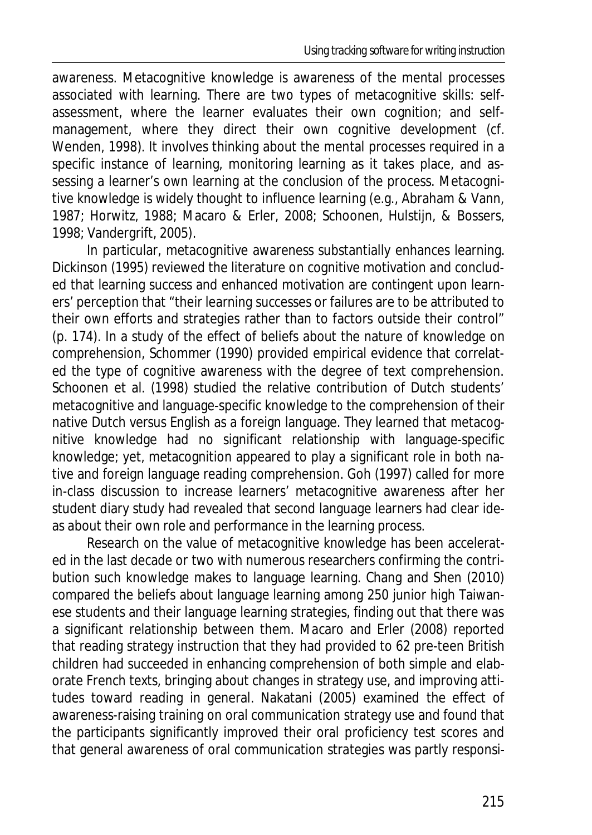awareness. Metacognitive knowledge is awareness of the mental processes associated with learning. There are two types of metacognitive skills: selfassessment, where the learner evaluates their own cognition; and selfmanagement, where they direct their own cognitive development (cf. Wenden, 1998). It involves thinking about the mental processes required in a specific instance of learning, monitoring learning as it takes place, and assessing a learner's own learning at the conclusion of the process. Metacognitive knowledge is widely thought to influence learning (e.g., Abraham & Vann, 1987; Horwitz, 1988; Macaro & Erler, 2008; Schoonen, Hulstijn, & Bossers, 1998; Vandergrift, 2005).

In particular, metacognitive awareness substantially enhances learning. Dickinson (1995) reviewed the literature on cognitive motivation and concluded that learning success and enhanced motivation are contingent upon learners' perception that "their learning successes or failures are to be attributed to their own efforts and strategies rather than to factors outside their control" (p. 174). In a study of the effect of beliefs about the nature of knowledge on comprehension, Schommer (1990) provided empirical evidence that correlated the type of cognitive awareness with the degree of text comprehension. Schoonen et al. (1998) studied the relative contribution of Dutch students' metacognitive and language-specific knowledge to the comprehension of their native Dutch versus English as a foreign language. They learned that metacognitive knowledge had no significant relationship with language-specific knowledge; yet, metacognition appeared to play a significant role in both native and foreign language reading comprehension. Goh (1997) called for more in-class discussion to increase learners' metacognitive awareness after her student diary study had revealed that second language learners had clear ideas about their own role and performance in the learning process.

Research on the value of metacognitive knowledge has been accelerated in the last decade or two with numerous researchers confirming the contribution such knowledge makes to language learning. Chang and Shen (2010) compared the beliefs about language learning among 250 junior high Taiwanese students and their language learning strategies, finding out that there was a significant relationship between them. Macaro and Erler (2008) reported that reading strategy instruction that they had provided to 62 pre-teen British children had succeeded in enhancing comprehension of both simple and elaborate French texts, bringing about changes in strategy use, and improving attitudes toward reading in general. Nakatani (2005) examined the effect of awareness-raising training on oral communication strategy use and found that the participants significantly improved their oral proficiency test scores and that general awareness of oral communication strategies was partly responsi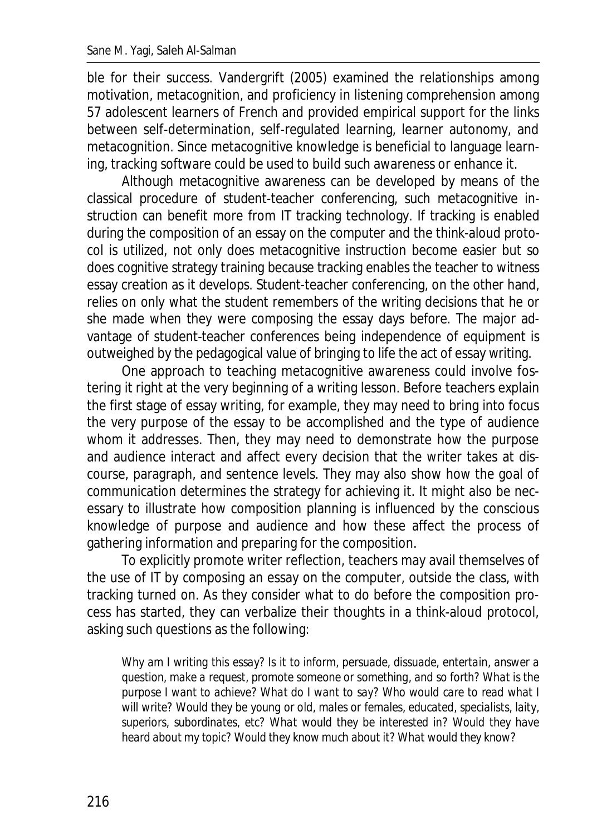ble for their success. Vandergrift (2005) examined the relationships among motivation, metacognition, and proficiency in listening comprehension among 57 adolescent learners of French and provided empirical support for the links between self-determination, self-regulated learning, learner autonomy, and metacognition. Since metacognitive knowledge is beneficial to language learning, tracking software could be used to build such awareness or enhance it.

Although metacognitive awareness can be developed by means of the classical procedure of student-teacher conferencing, such metacognitive instruction can benefit more from IT tracking technology. If tracking is enabled during the composition of an essay on the computer and the think-aloud protocol is utilized, not only does metacognitive instruction become easier but so does cognitive strategy training because tracking enables the teacher to witness essay creation as it develops. Student-teacher conferencing, on the other hand, relies on only what the student remembers of the writing decisions that he or she made when they were composing the essay days before. The major advantage of student-teacher conferences being independence of equipment is outweighed by the pedagogical value of bringing to life the act of essay writing.

One approach to teaching metacognitive awareness could involve fostering it right at the very beginning of a writing lesson. Before teachers explain the first stage of essay writing, for example, they may need to bring into focus the very purpose of the essay to be accomplished and the type of audience whom it addresses. Then, they may need to demonstrate how the purpose and audience interact and affect every decision that the writer takes at discourse, paragraph, and sentence levels. They may also show how the goal of communication determines the strategy for achieving it. It might also be necessary to illustrate how composition planning is influenced by the conscious knowledge of purpose and audience and how these affect the process of gathering information and preparing for the composition.

To explicitly promote writer reflection, teachers may avail themselves of the use of IT by composing an essay on the computer, outside the class, with tracking turned on. As they consider what to do before the composition process has started, they can verbalize their thoughts in a think-aloud protocol, asking such questions as the following:

*Why am I writing this essay? Is it to inform, persuade, dissuade, entertain, answer a question, make a request, promote someone or something, and so forth? What is the purpose I want to achieve? What do I want to say? Who would care to read what I will write? Would they be young or old, males or females, educated, specialists, laity,*  superiors, subordinates, etc? What would they be interested in? Would they have *heard about my topic? Would they know much about it? What would they know?*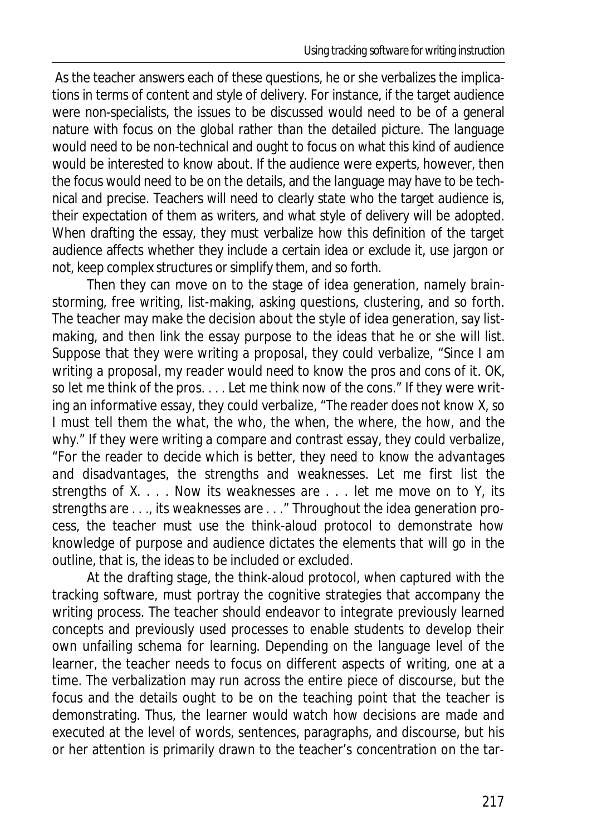As the teacher answers each of these questions, he or she verbalizes the implications in terms of content and style of delivery. For instance, if the target audience were non-specialists, the issues to be discussed would need to be of a general nature with focus on the global rather than the detailed picture. The language would need to be non-technical and ought to focus on what this kind of audience would be interested to know about. If the audience were experts, however, then the focus would need to be on the details, and the language may have to be technical and precise. Teachers will need to clearly state who the target audience is, their expectation of them as writers, and what style of delivery will be adopted. When drafting the essay, they must verbalize how this definition of the target audience affects whether they include a certain idea or exclude it, use jargon or not, keep complex structures or simplify them, and so forth.

Then they can move on to the stage of idea generation, namely brainstorming, free writing, list-making, asking questions, clustering, and so forth. The teacher may make the decision about the style of idea generation, say listmaking, and then link the essay purpose to the ideas that he or she will list. Suppose that they were writing a proposal, they could verbalize, "*Since I am writing a proposal, my reader would need to know the pros and cons of it. OK, so let me think of the pros. . . . Let me think now of the cons*." If they were writing an informative essay, they could verbalize, "*The reader does not know X, so*  I must tell them the what, the who, the when, the where, the how, and the *why*." If they were writing a compare and contrast essay, they could verbalize, "*For the reader to decide which is better, they need to know the advantages and disadvantages, the strengths and weaknesses. Let me first list the strengths of X. . . . Now its weaknesses are . . . let me move on to Y, its strengths are . . ., its weaknesses are . . .*" Throughout the idea generation process, the teacher must use the think-aloud protocol to demonstrate how knowledge of purpose and audience dictates the elements that will go in the outline, that is, the ideas to be included or excluded.

At the drafting stage, the think-aloud protocol, when captured with the tracking software, must portray the cognitive strategies that accompany the writing process. The teacher should endeavor to integrate previously learned concepts and previously used processes to enable students to develop their own unfailing schema for learning. Depending on the language level of the learner, the teacher needs to focus on different aspects of writing, one at a time. The verbalization may run across the entire piece of discourse, but the focus and the details ought to be on the teaching point that the teacher is demonstrating. Thus, the learner would watch how decisions are made and executed at the level of words, sentences, paragraphs, and discourse, but his or her attention is primarily drawn to the teacher's concentration on the tar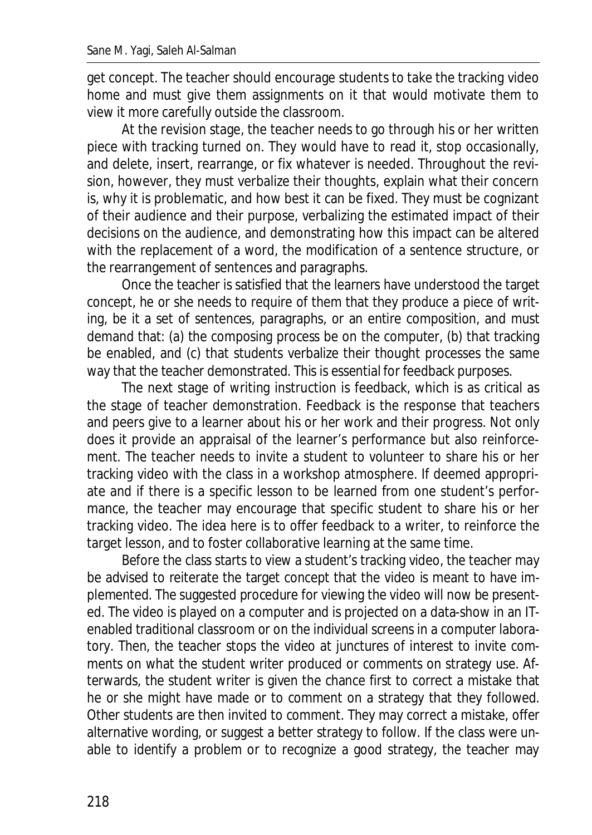get concept. The teacher should encourage students to take the tracking video home and must give them assignments on it that would motivate them to view it more carefully outside the classroom.

At the revision stage, the teacher needs to go through his or her written piece with tracking turned on. They would have to read it, stop occasionally, and delete, insert, rearrange, or fix whatever is needed. Throughout the revision, however, they must verbalize their thoughts, explain what their concern is, why it is problematic, and how best it can be fixed. They must be cognizant of their audience and their purpose, verbalizing the estimated impact of their decisions on the audience, and demonstrating how this impact can be altered with the replacement of a word, the modification of a sentence structure, or the rearrangement of sentences and paragraphs.

Once the teacher is satisfied that the learners have understood the target concept, he or she needs to require of them that they produce a piece of writing, be it a set of sentences, paragraphs, or an entire composition, and must demand that: (a) the composing process be on the computer, (b) that tracking be enabled, and (c) that students verbalize their thought processes the same way that the teacher demonstrated. This is essential for feedback purposes.

The next stage of writing instruction is feedback, which is as critical as the stage of teacher demonstration. Feedback is the response that teachers and peers give to a learner about his or her work and their progress. Not only does it provide an appraisal of the learner's performance but also reinforcement. The teacher needs to invite a student to volunteer to share his or her tracking video with the class in a workshop atmosphere. If deemed appropriate and if there is a specific lesson to be learned from one student's performance, the teacher may encourage that specific student to share his or her tracking video. The idea here is to offer feedback to a writer, to reinforce the target lesson, and to foster collaborative learning at the same time.

Before the class starts to view a student's tracking video, the teacher may be advised to reiterate the target concept that the video is meant to have implemented. The suggested procedure for viewing the video will now be presented. The video is played on a computer and is projected on a data-show in an ITenabled traditional classroom or on the individual screens in a computer laboratory. Then, the teacher stops the video at junctures of interest to invite comments on what the student writer produced or comments on strategy use. Afterwards, the student writer is given the chance first to correct a mistake that he or she might have made or to comment on a strategy that they followed. Other students are then invited to comment. They may correct a mistake, offer alternative wording, or suggest a better strategy to follow. If the class were unable to identify a problem or to recognize a good strategy, the teacher may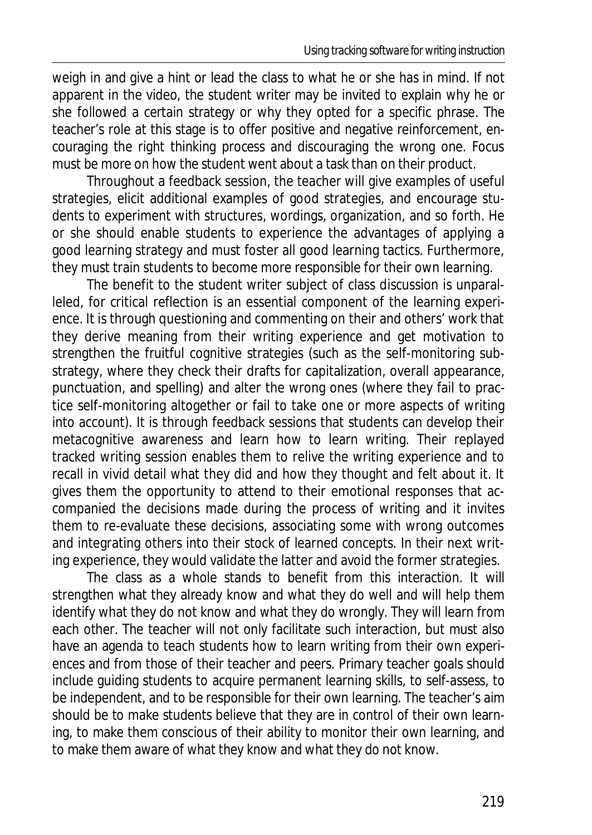weigh in and give a hint or lead the class to what he or she has in mind. If not apparent in the video, the student writer may be invited to explain why he or she followed a certain strategy or why they opted for a specific phrase. The teacher's role at this stage is to offer positive and negative reinforcement, encouraging the right thinking process and discouraging the wrong one. Focus must be more on how the student went about a task than on their product.

Throughout a feedback session, the teacher will give examples of useful strategies, elicit additional examples of good strategies, and encourage students to experiment with structures, wordings, organization, and so forth. He or she should enable students to experience the advantages of applying a good learning strategy and must foster all good learning tactics. Furthermore, they must train students to become more responsible for their own learning.

The benefit to the student writer subject of class discussion is unparalleled, for critical reflection is an essential component of the learning experience. It is through questioning and commenting on their and others' work that they derive meaning from their writing experience and get motivation to strengthen the fruitful cognitive strategies (such as the self-monitoring substrategy, where they check their drafts for capitalization, overall appearance, punctuation, and spelling) and alter the wrong ones (where they fail to practice self-monitoring altogether or fail to take one or more aspects of writing into account). It is through feedback sessions that students can develop their metacognitive awareness and learn how to learn writing. Their replayed tracked writing session enables them to relive the writing experience and to recall in vivid detail what they did and how they thought and felt about it. It gives them the opportunity to attend to their emotional responses that accompanied the decisions made during the process of writing and it invites them to re-evaluate these decisions, associating some with wrong outcomes and integrating others into their stock of learned concepts. In their next writing experience, they would validate the latter and avoid the former strategies.

The class as a whole stands to benefit from this interaction. It will strengthen what they already know and what they do well and will help them identify what they do not know and what they do wrongly. They will learn from each other. The teacher will not only facilitate such interaction, but must also have an agenda to teach students how to learn writing from their own experiences and from those of their teacher and peers. Primary teacher goals should include guiding students to acquire permanent learning skills, to self-assess, to be independent, and to be responsible for their own learning. The teacher's aim should be to make students believe that they are in control of their own learning, to make them conscious of their ability to monitor their own learning, and to make them aware of what they know and what they do not know.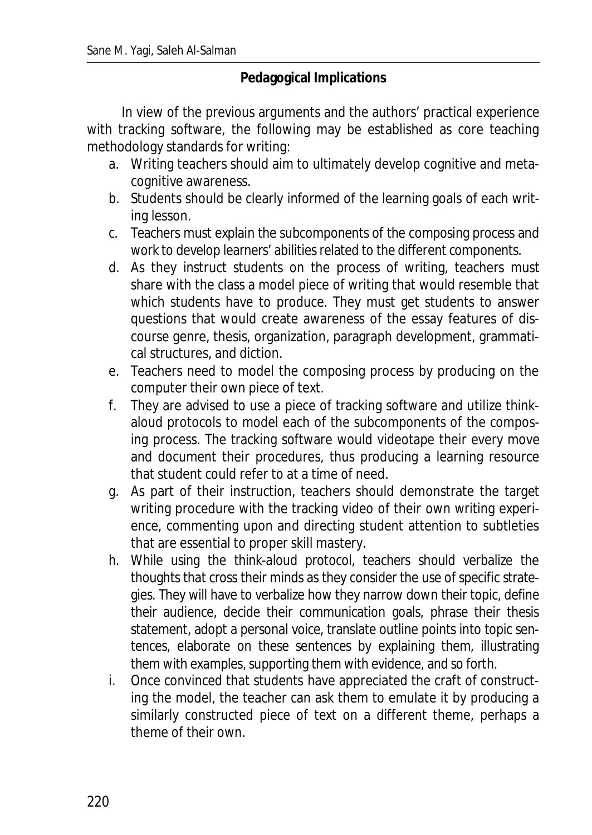#### **Pedagogical Implications**

In view of the previous arguments and the authors' practical experience with tracking software, the following may be established as core teaching methodology standards for writing:

- a. Writing teachers should aim to ultimately develop cognitive and metacognitive awareness.
- b. Students should be clearly informed of the learning goals of each writing lesson.
- c. Teachers must explain the subcomponents of the composing process and work to develop learners' abilities related to the different components.
- d. As they instruct students on the process of writing, teachers must share with the class a model piece of writing that would resemble that which students have to produce. They must get students to answer questions that would create awareness of the essay features of discourse genre, thesis, organization, paragraph development, grammatical structures, and diction.
- e. Teachers need to model the composing process by producing on the computer their own piece of text.
- f. They are advised to use a piece of tracking software and utilize thinkaloud protocols to model each of the subcomponents of the composing process. The tracking software would videotape their every move and document their procedures, thus producing a learning resource that student could refer to at a time of need.
- g. As part of their instruction, teachers should demonstrate the target writing procedure with the tracking video of their own writing experience, commenting upon and directing student attention to subtleties that are essential to proper skill mastery.
- h. While using the think-aloud protocol, teachers should verbalize the thoughts that cross their minds as they consider the use of specific strategies. They will have to verbalize how they narrow down their topic, define their audience, decide their communication goals, phrase their thesis statement, adopt a personal voice, translate outline points into topic sentences, elaborate on these sentences by explaining them, illustrating them with examples, supporting them with evidence, and so forth.
- i. Once convinced that students have appreciated the craft of constructing the model, the teacher can ask them to emulate it by producing a similarly constructed piece of text on a different theme, perhaps a theme of their own.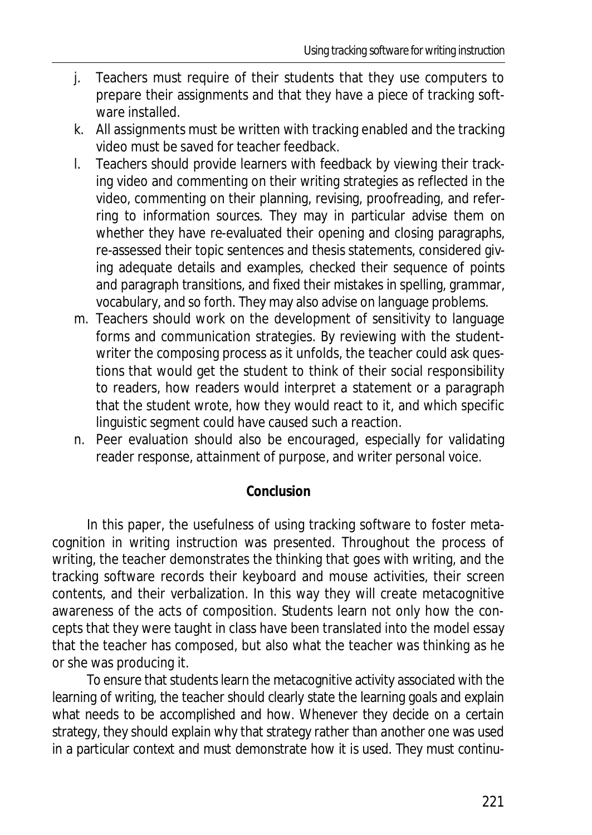- j. Teachers must require of their students that they use computers to prepare their assignments and that they have a piece of tracking software installed.
- k. All assignments must be written with tracking enabled and the tracking video must be saved for teacher feedback.
- l. Teachers should provide learners with feedback by viewing their tracking video and commenting on their writing strategies as reflected in the video, commenting on their planning, revising, proofreading, and referring to information sources. They may in particular advise them on whether they have re-evaluated their opening and closing paragraphs, re-assessed their topic sentences and thesis statements, considered giving adequate details and examples, checked their sequence of points and paragraph transitions, and fixed their mistakes in spelling, grammar, vocabulary, and so forth. They may also advise on language problems.
- m. Teachers should work on the development of sensitivity to language forms and communication strategies. By reviewing with the studentwriter the composing process as it unfolds, the teacher could ask questions that would get the student to think of their social responsibility to readers, how readers would interpret a statement or a paragraph that the student wrote, how they would react to it, and which specific linguistic segment could have caused such a reaction.
- n. Peer evaluation should also be encouraged, especially for validating reader response, attainment of purpose, and writer personal voice.

#### **Conclusion**

In this paper, the usefulness of using tracking software to foster metacognition in writing instruction was presented. Throughout the process of writing, the teacher demonstrates the thinking that goes with writing, and the tracking software records their keyboard and mouse activities, their screen contents, and their verbalization. In this way they will create metacognitive awareness of the acts of composition. Students learn not only how the concepts that they were taught in class have been translated into the model essay that the teacher has composed, but also what the teacher was thinking as he or she was producing it.

To ensure that students learn the metacognitive activity associated with the learning of writing, the teacher should clearly state the learning goals and explain what needs to be accomplished and how. Whenever they decide on a certain strategy, they should explain why that strategy rather than another one was used in a particular context and must demonstrate how it is used. They must continu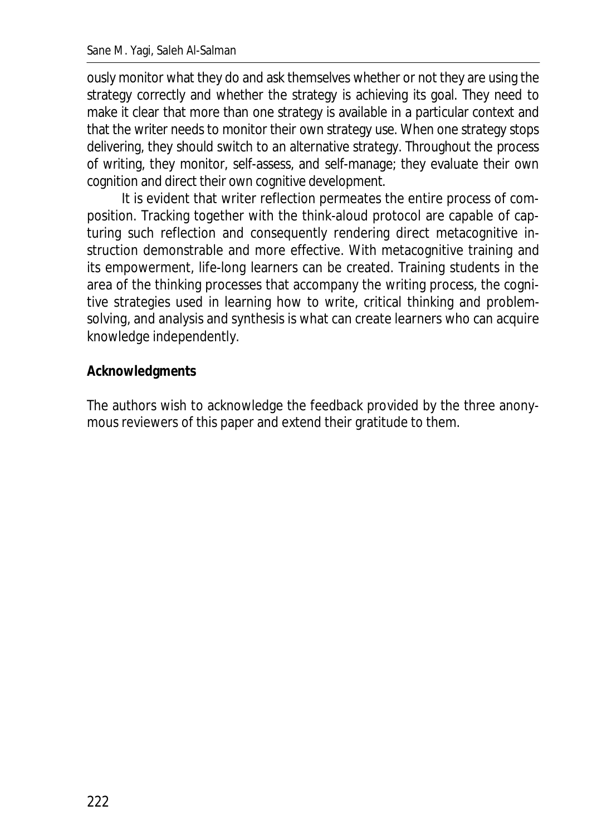ously monitor what they do and ask themselves whether or not they are using the strategy correctly and whether the strategy is achieving its goal. They need to make it clear that more than one strategy is available in a particular context and that the writer needs to monitor their own strategy use. When one strategy stops delivering, they should switch to an alternative strategy. Throughout the process of writing, they monitor, self-assess, and self-manage; they evaluate their own cognition and direct their own cognitive development.

It is evident that writer reflection permeates the entire process of composition. Tracking together with the think-aloud protocol are capable of capturing such reflection and consequently rendering direct metacognitive instruction demonstrable and more effective. With metacognitive training and its empowerment, life-long learners can be created. Training students in the area of the thinking processes that accompany the writing process, the cognitive strategies used in learning how to write, critical thinking and problemsolving, and analysis and synthesis is what can create learners who can acquire knowledge independently.

#### **Acknowledgments**

The authors wish to acknowledge the feedback provided by the three anonymous reviewers of this paper and extend their gratitude to them.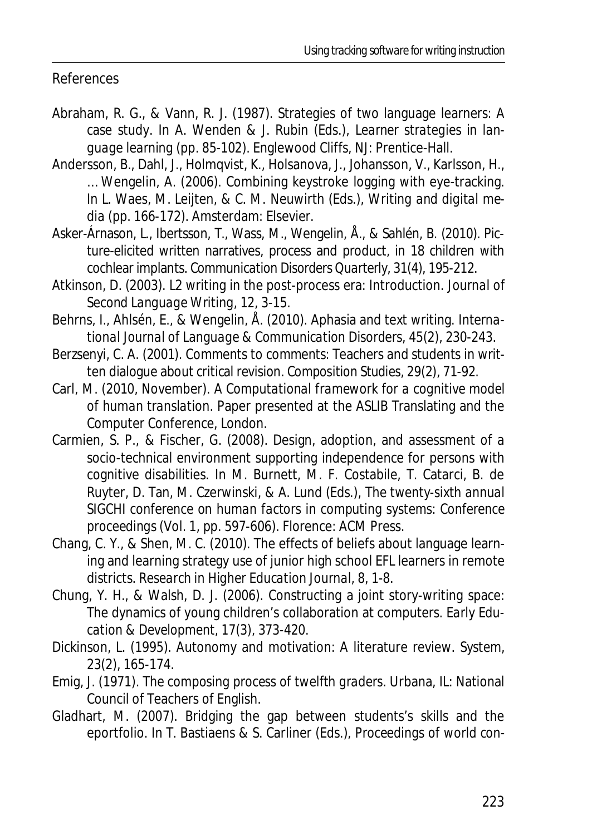#### References

- Abraham, R. G., & Vann, R. J. (1987). Strategies of two language learners: A case study. In A. Wenden & J. Rubin (Eds.), *Learner strategies in language learning* (pp. 85-102). Englewood Cliffs, NJ: Prentice-Hall.
- Andersson, B., Dahl, J., Holmqvist, K., Holsanova, J., Johansson, V., Karlsson, H., … Wengelin, A. (2006). Combining keystroke logging with eye-tracking. In L. Waes, M. Leijten, & C. M. Neuwirth (Eds.), *Writing and digital media* (pp. 166-172). Amsterdam: Elsevier.
- Asker-Árnason, L., Ibertsson, T., Wass, M., Wengelin, Å., & Sahlén, B. (2010). Picture-elicited written narratives, process and product, in 18 children with cochlear implants. *Communication Disorders Quarterly, 31*(4), 195-212.
- Atkinson, D. (2003). L2 writing in the post-process era: Introduction. *Journal of Second Language Writing, 12*, 3-15.
- Behrns, I., Ahlsén, E., & Wengelin, Å. (2010). Aphasia and text writing. *International Journal of Language & Communication Disorders, 45*(2), 230-243.
- Berzsenyi, C. A. (2001). Comments to comments: Teachers and students in written dialogue about critical revision. *Composition Studies, 29*(2), 71-92.
- Carl, M. (2010, November). *A Computational framework for a cognitive model of human translation*. Paper presented at the ASLIB Translating and the Computer Conference, London.
- Carmien, S. P., & Fischer, G. (2008). Design, adoption, and assessment of a socio-technical environment supporting independence for persons with cognitive disabilities. In M. Burnett, M. F. Costabile, T. Catarci, B. de Ruyter, D. Tan, M. Czerwinski, & A. Lund (Eds.), *The twenty-sixth annual SIGCHI conference on human factors in computing systems*: *Conference proceedings* (Vol. 1, pp. 597-606). Florence: ACM Press.
- Chang, C. Y., & Shen, M. C. (2010). The effects of beliefs about language learning and learning strategy use of junior high school EFL learners in remote districts. *Research in Higher Education Journal, 8*, 1-8.
- Chung, Y. H., & Walsh, D. J. (2006). Constructing a joint story-writing space: The dynamics of young children's collaboration at computers. *Early Education & Development, 17*(3), 373-420.
- Dickinson, L. (1995). Autonomy and motivation: A literature review. *System, 23*(2), 165-174.
- Emig, J. (1971). *The composing process of twelfth graders*. Urbana, IL: National Council of Teachers of English.
- Gladhart, M. (2007). Bridging the gap between students's skills and the eportfolio. In T. Bastiaens & S. Carliner (Eds.), *Proceedings of world con-*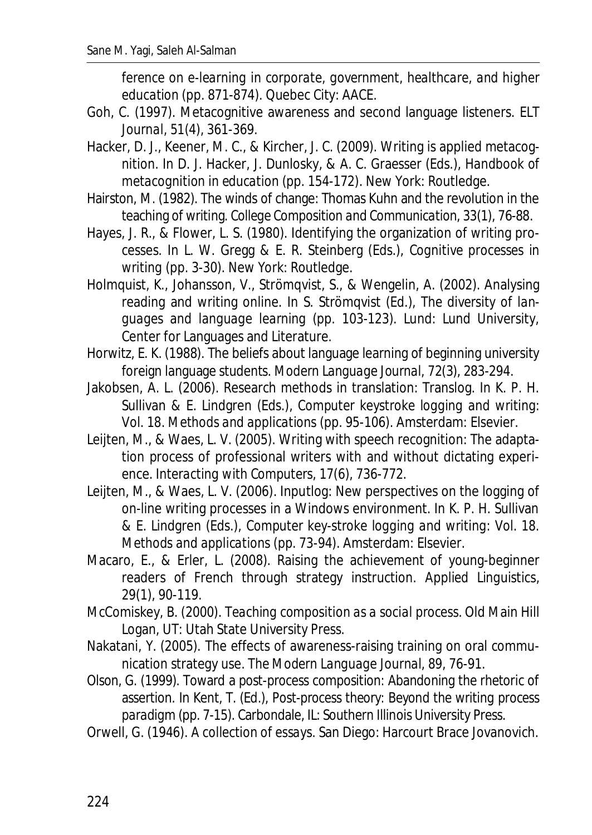*ference on e-learning in corporate, government, healthcare, and higher education* (pp. 871-874). Quebec City: AACE.

- Goh, C. (1997). Metacognitive awareness and second language listeners. *ELT Journal, 51(*4), 361-369.
- Hacker, D. J., Keener, M. C., & Kircher, J. C. (2009). Writing is applied metacognition. In D. J. Hacker, J. Dunlosky, & A. C. Graesser (Eds.), *Handbook of metacognition in education* (pp. 154-172). New York: Routledge.
- Hairston, M. (1982). The winds of change: Thomas Kuhn and the revolution in the teaching of writing. *College Composition and Communication, 33*(1), 76-88.
- Hayes, J. R., & Flower, L. S. (1980). Identifying the organization of writing processes. In L. W. Gregg & E. R. Steinberg (Eds.), *Cognitive processes in writing* (pp. 3-30). New York: Routledge.
- Holmquist, K., Johansson, V., Strömqvist, S., & Wengelin, A. (2002). Analysing reading and writing online. In S. Strömqvist (Ed.), *The diversity of languages and language learning* (pp. 103-123). Lund: Lund University, Center for Languages and Literature.
- Horwitz, E. K. (1988). The beliefs about language learning of beginning university foreign language students. *Modern Language Journal, 72*(3), 283-294.
- Jakobsen, A. L. (2006). Research methods in translation: Translog. In K. P. H. Sullivan & E. Lindgren (Eds.), *Computer keystroke logging and writing*: *Vol. 18. Methods and applications* (pp. 95-106). Amsterdam: Elsevier.
- Leijten, M., & Waes, L. V. (2005). Writing with speech recognition: The adaptation process of professional writers with and without dictating experience. *Interacting with Computers, 17*(6), 736-772.
- Leijten, M., & Waes, L. V. (2006). Inputlog: New perspectives on the logging of on-line writing processes in a Windows environment. In K. P. H. Sullivan & E. Lindgren (Eds.), *Computer key-stroke logging and writing*: *Vol. 18. Methods and applications* (pp. 73-94). Amsterdam: Elsevier.
- Macaro, E., & Erler, L. (2008). Raising the achievement of young-beginner readers of French through strategy instruction. *Applied Linguistics, 29*(1), 90-119.
- McComiskey, B. (2000). *Teaching composition as a social process*. Old Main Hill Logan, UT: Utah State University Press.
- Nakatani, Y. (2005). The effects of awareness-raising training on oral communication strategy use. *The Modern Language Journal, 89*, 76-91.
- Olson, G. (1999). Toward a post-process composition: Abandoning the rhetoric of assertion. In Kent, T. (Ed.), *Post-process theory: Beyond the writing process paradigm* (pp. 7-15). Carbondale, IL: Southern Illinois University Press.
- Orwell, G. (1946). *A collection of essays*. San Diego: Harcourt Brace Jovanovich.